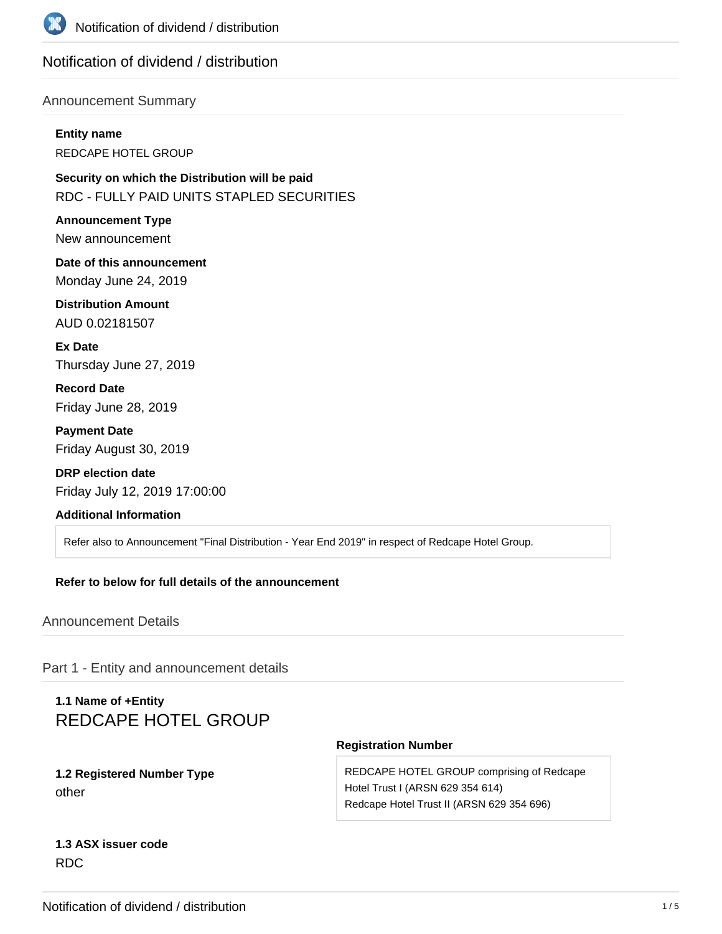

## Notification of dividend / distribution

### Announcement Summary

**Entity name** REDCAPE HOTEL GROUP

**Security on which the Distribution will be paid** RDC - FULLY PAID UNITS STAPLED SECURITIES

**Announcement Type** New announcement

**Date of this announcement** Monday June 24, 2019

**Distribution Amount** AUD 0.02181507

**Ex Date** Thursday June 27, 2019

**Record Date** Friday June 28, 2019

**Payment Date** Friday August 30, 2019

**DRP election date** Friday July 12, 2019 17:00:00

### **Additional Information**

Refer also to Announcement "Final Distribution - Year End 2019" in respect of Redcape Hotel Group.

#### **Refer to below for full details of the announcement**

Announcement Details

Part 1 - Entity and announcement details

# **1.1 Name of +Entity** REDCAPE HOTEL GROUP

### **1.2 Registered Number Type** other

#### **Registration Number**

REDCAPE HOTEL GROUP comprising of Redcape Hotel Trust I (ARSN 629 354 614) Redcape Hotel Trust II (ARSN 629 354 696)

## **1.3 ASX issuer code** RDC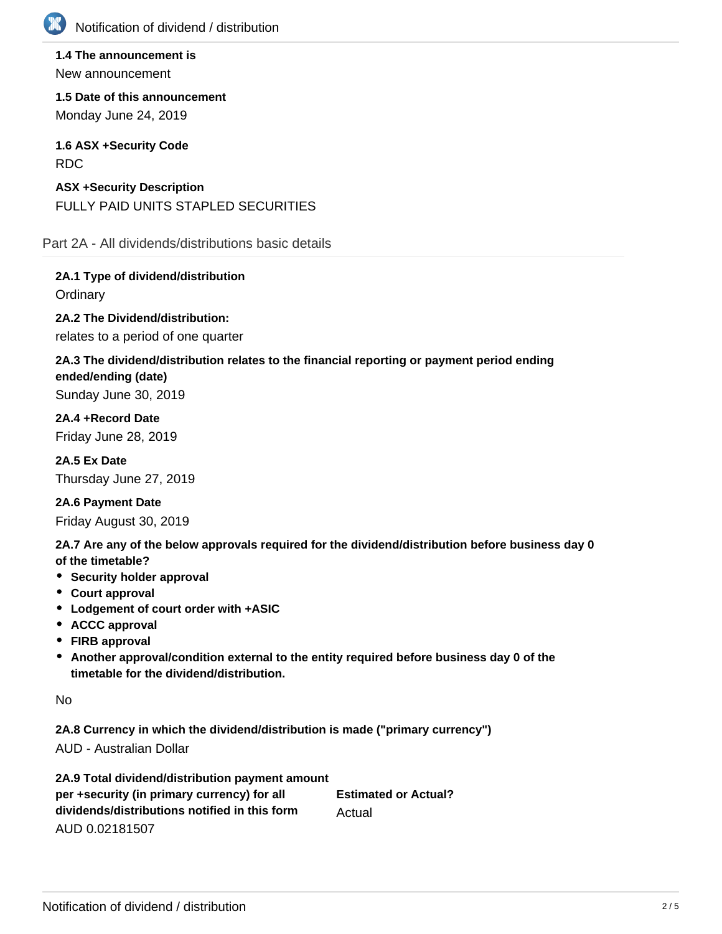

**1.4 The announcement is** New announcement

**1.5 Date of this announcement** Monday June 24, 2019

**1.6 ASX +Security Code** RDC

**ASX +Security Description** FULLY PAID UNITS STAPLED SECURITIES

Part 2A - All dividends/distributions basic details

**2A.1 Type of dividend/distribution Ordinary** 

**2A.2 The Dividend/distribution:**

relates to a period of one quarter

# **2A.3 The dividend/distribution relates to the financial reporting or payment period ending ended/ending (date)**

Sunday June 30, 2019

**2A.4 +Record Date** Friday June 28, 2019

**2A.5 Ex Date** Thursday June 27, 2019

**2A.6 Payment Date** Friday August 30, 2019

**2A.7 Are any of the below approvals required for the dividend/distribution before business day 0 of the timetable?**

- **•** Security holder approval
- **Court approval**
- **Lodgement of court order with +ASIC**
- **ACCC approval**
- **FIRB approval**
- **Another approval/condition external to the entity required before business day 0 of the timetable for the dividend/distribution.**

No

**2A.8 Currency in which the dividend/distribution is made ("primary currency")** AUD - Australian Dollar

**2A.9 Total dividend/distribution payment amount per +security (in primary currency) for all dividends/distributions notified in this form** AUD 0.02181507 **Estimated or Actual?** Actual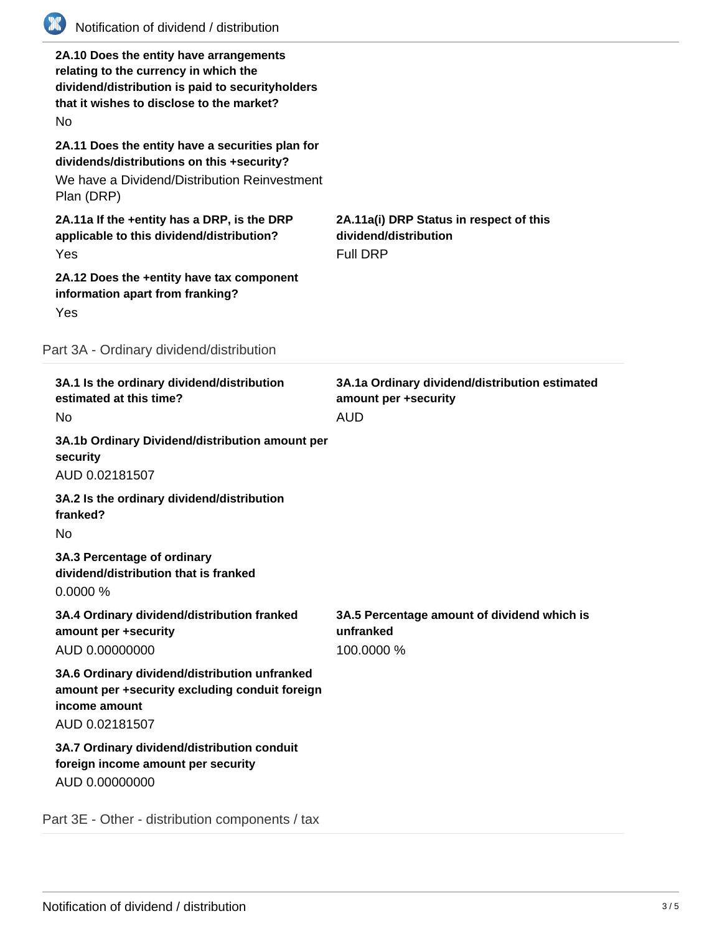

### Part 3A - Ordinary dividend/distribution

| 3A.1 Is the ordinary dividend/distribution<br>estimated at this time?<br>No.                                                       | 3A.1a Ordinary dividend/distribution estimated<br>amount per +security<br><b>AUD</b> |
|------------------------------------------------------------------------------------------------------------------------------------|--------------------------------------------------------------------------------------|
| 3A.1b Ordinary Dividend/distribution amount per<br>security<br>AUD 0.02181507                                                      |                                                                                      |
| 3A.2 Is the ordinary dividend/distribution<br>franked?<br><b>No</b>                                                                |                                                                                      |
| 3A.3 Percentage of ordinary<br>dividend/distribution that is franked<br>0.0000%                                                    |                                                                                      |
| 3A.4 Ordinary dividend/distribution franked<br>amount per +security<br>AUD 0.00000000                                              | 3A.5 Percentage amount of dividend which is<br>unfranked<br>100.0000 %               |
| 3A.6 Ordinary dividend/distribution unfranked<br>amount per +security excluding conduit foreign<br>income amount<br>AUD 0.02181507 |                                                                                      |
| 3A.7 Ordinary dividend/distribution conduit<br>foreign income amount per security<br>AUD 0.00000000                                |                                                                                      |
| Part 3E - Other - distribution components / tax                                                                                    |                                                                                      |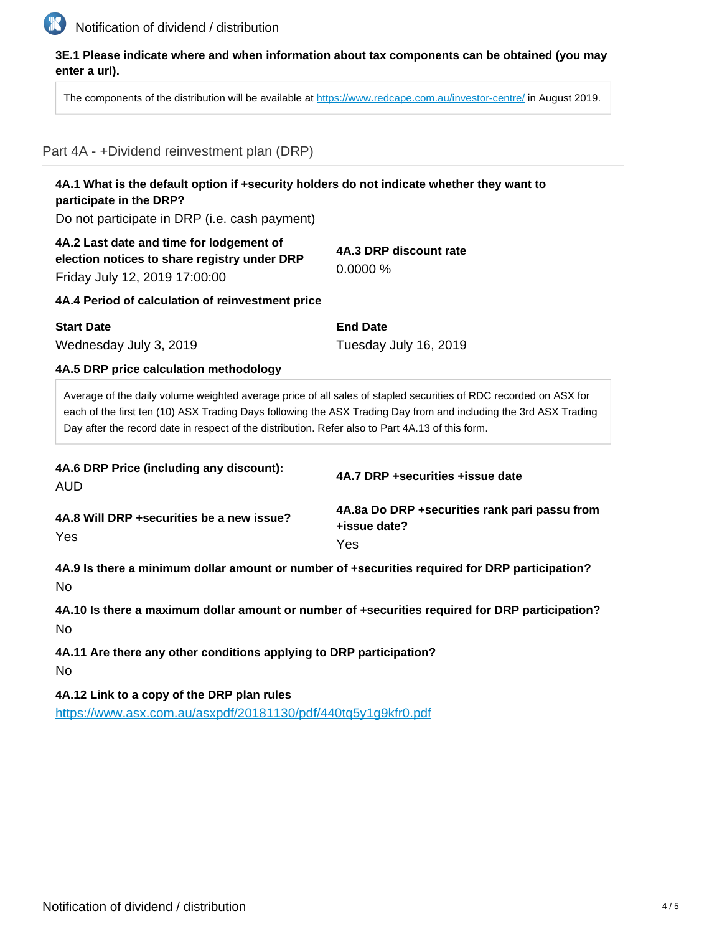

## **3E.1 Please indicate where and when information about tax components can be obtained (you may enter a url).**

The components of the distribution will be available at <https://www.redcape.com.au/investor-centre/> in August 2019.

# Part 4A - +Dividend reinvestment plan (DRP)

| participate in the DRP?                                                                                                                                                                                                                                                                                                                  | 4A.1 What is the default option if +security holders do not indicate whether they want to |  |
|------------------------------------------------------------------------------------------------------------------------------------------------------------------------------------------------------------------------------------------------------------------------------------------------------------------------------------------|-------------------------------------------------------------------------------------------|--|
| Do not participate in DRP (i.e. cash payment)                                                                                                                                                                                                                                                                                            |                                                                                           |  |
| 4A.2 Last date and time for lodgement of<br>election notices to share registry under DRP<br>Friday July 12, 2019 17:00:00                                                                                                                                                                                                                | 4A.3 DRP discount rate<br>0.0000%                                                         |  |
| 4A.4 Period of calculation of reinvestment price                                                                                                                                                                                                                                                                                         |                                                                                           |  |
| <b>Start Date</b>                                                                                                                                                                                                                                                                                                                        | <b>End Date</b>                                                                           |  |
| Wednesday July 3, 2019                                                                                                                                                                                                                                                                                                                   | Tuesday July 16, 2019                                                                     |  |
| 4A.5 DRP price calculation methodology                                                                                                                                                                                                                                                                                                   |                                                                                           |  |
| Average of the daily volume weighted average price of all sales of stapled securities of RDC recorded on ASX for<br>each of the first ten (10) ASX Trading Days following the ASX Trading Day from and including the 3rd ASX Trading<br>Day after the record date in respect of the distribution. Refer also to Part 4A.13 of this form. |                                                                                           |  |
|                                                                                                                                                                                                                                                                                                                                          |                                                                                           |  |
| 4A.6 DRP Price (including any discount):<br><b>AUD</b>                                                                                                                                                                                                                                                                                   | 4A.7 DRP +securities +issue date                                                          |  |
| 4A.8 Will DRP + securities be a new issue?                                                                                                                                                                                                                                                                                               | 4A.8a Do DRP +securities rank pari passu from<br>+issue date?                             |  |
| Yes                                                                                                                                                                                                                                                                                                                                      | Yes                                                                                       |  |
| 4A.9 Is there a minimum dollar amount or number of +securities required for DRP participation?<br>No.                                                                                                                                                                                                                                    |                                                                                           |  |
| 4A.10 Is there a maximum dollar amount or number of +securities required for DRP participation?<br><b>No</b>                                                                                                                                                                                                                             |                                                                                           |  |

**4A.12 Link to a copy of the DRP plan rules** <https://www.asx.com.au/asxpdf/20181130/pdf/440tq5y1g9kfr0.pdf>